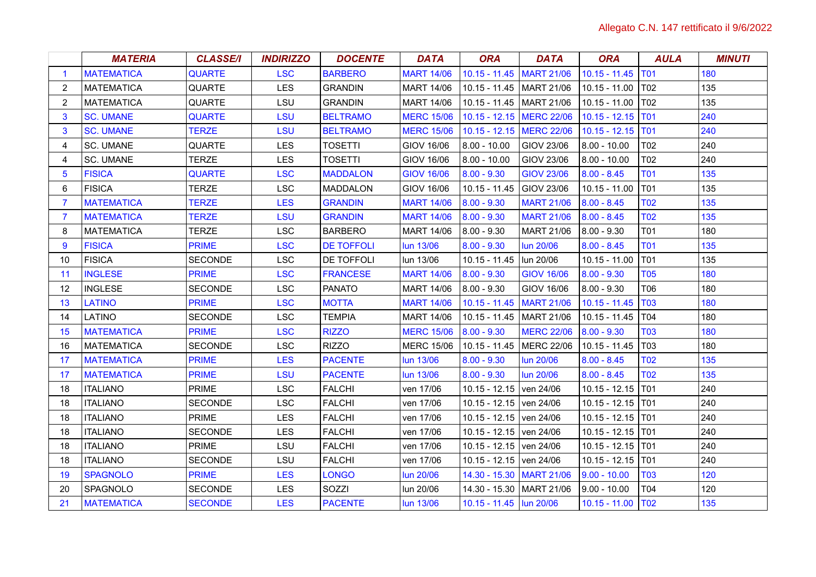|                | <b>MATERIA</b>    | <b>CLASSE/I</b> | <b>INDIRIZZO</b> | <b>DOCENTE</b>    | <b>DATA</b>       | <b>ORA</b>                 | <b>DATA</b>       | <b>ORA</b>          | <b>AULA</b>      | <b>MINUTI</b> |
|----------------|-------------------|-----------------|------------------|-------------------|-------------------|----------------------------|-------------------|---------------------|------------------|---------------|
|                | <b>MATEMATICA</b> | <b>QUARTE</b>   | <b>LSC</b>       | <b>BARBERO</b>    | <b>MART 14/06</b> | 10.15 - 11.45   MART 21/06 |                   | $10.15 - 11.45$     | <b>T01</b>       | 180           |
| $\overline{2}$ | <b>MATEMATICA</b> | QUARTE          | <b>LES</b>       | <b>GRANDIN</b>    | <b>MART 14/06</b> | 10.15 - 11.45   MART 21/06 |                   | $10.15 - 11.00$     | $\mathsf{T}02$   | 135           |
| $\overline{2}$ | <b>MATEMATICA</b> | <b>QUARTE</b>   | LSU              | <b>GRANDIN</b>    | <b>MART 14/06</b> | 10.15 - 11.45   MART 21/06 |                   | 10.15 - 11.00       | T02              | 135           |
| 3              | <b>SC. UMANE</b>  | <b>QUARTE</b>   | <b>LSU</b>       | <b>BELTRAMO</b>   | <b>MERC 15/06</b> | 10.15 - 12.15 MERC 22/06   |                   | $10.15 - 12.15$     | T <sub>01</sub>  | 240           |
| 3              | <b>SC. UMANE</b>  | <b>TERZE</b>    | <b>LSU</b>       | <b>BELTRAMO</b>   | <b>MERC 15/06</b> | 10.15 - 12.15 MERC 22/06   |                   | $10.15 - 12.15$ T01 |                  | 240           |
| 4              | <b>SC. UMANE</b>  | <b>QUARTE</b>   | LES              | <b>TOSETTI</b>    | GIOV 16/06        | 8.00 - 10.00               | GIOV 23/06        | $8.00 - 10.00$      | T02              | 240           |
| 4              | <b>SC. UMANE</b>  | <b>TERZE</b>    | <b>LES</b>       | <b>TOSETTI</b>    | GIOV 16/06        | 8.00 - 10.00               | GIOV 23/06        | $8.00 - 10.00$      | T <sub>02</sub>  | 240           |
| 5              | <b>FISICA</b>     | <b>QUARTE</b>   | <b>LSC</b>       | <b>MADDALON</b>   | <b>GIOV 16/06</b> | $8.00 - 9.30$              | <b>GIOV 23/06</b> | $8.00 - 8.45$       | <b>T01</b>       | 135           |
| 6              | <b>FISICA</b>     | <b>TERZE</b>    | <b>LSC</b>       | <b>MADDALON</b>   | GIOV 16/06        | $10.15 - 11.45$            | <b>GIOV 23/06</b> | $10.15 - 11.00$     | T01              | 135           |
| $\overline{7}$ | <b>MATEMATICA</b> | <b>TERZE</b>    | <b>LES</b>       | <b>GRANDIN</b>    | <b>MART 14/06</b> | $8.00 - 9.30$              | <b>MART 21/06</b> | $8.00 - 8.45$       | <b>T02</b>       | 135           |
| $\overline{7}$ | <b>MATEMATICA</b> | <b>TERZE</b>    | <b>LSU</b>       | <b>GRANDIN</b>    | <b>MART 14/06</b> | $8.00 - 9.30$              | <b>MART 21/06</b> | $8.00 - 8.45$       | <b>T02</b>       | 135           |
| 8              | <b>MATEMATICA</b> | <b>TERZE</b>    | <b>LSC</b>       | <b>BARBERO</b>    | MART 14/06        | $ 8.00 - 9.30 $            | MART 21/06        | $8.00 - 9.30$       | T01              | 180           |
| 9              | <b>FISICA</b>     | <b>PRIME</b>    | <b>LSC</b>       | <b>DE TOFFOLI</b> | <b>lun 13/06</b>  | $8.00 - 9.30$              | <b>lun 20/06</b>  | $8.00 - 8.45$       | <b>T01</b>       | 135           |
| 10             | <b>FISICA</b>     | <b>SECONDE</b>  | <b>LSC</b>       | DE TOFFOLI        | lun 13/06         | 10.15 - 11.45   lun 20/06  |                   | $10.15 - 11.00$     | T01              | 135           |
| 11             | <b>INGLESE</b>    | <b>PRIME</b>    | <b>LSC</b>       | <b>FRANCESE</b>   | <b>MART 14/06</b> | $8.00 - 9.30$              | GIOV 16/06        | $8.00 - 9.30$       | <b>T05</b>       | 180           |
| 12             | <b>INGLESE</b>    | <b>SECONDE</b>  | <b>LSC</b>       | <b>PANATO</b>     | MART 14/06        | $ 8.00 - 9.30 $            | GIOV 16/06        | $8.00 - 9.30$       | T06              | 180           |
| 13             | <b>LATINO</b>     | <b>PRIME</b>    | <b>LSC</b>       | <b>MOTTA</b>      | <b>MART 14/06</b> | 10.15 - 11.45   MART 21/06 |                   | $10.15 - 11.45$     | <b>T03</b>       | 180           |
| 14             | LATINO            | <b>SECONDE</b>  | <b>LSC</b>       | <b>TEMPIA</b>     | <b>MART 14/06</b> | 10.15 - 11.45   MART 21/06 |                   | 10.15 - 11.45       | $\overline{104}$ | 180           |
| 15             | <b>MATEMATICA</b> | <b>PRIME</b>    | <b>LSC</b>       | <b>RIZZO</b>      | <b>MERC 15/06</b> | $8.00 - 9.30$              | <b>MERC 22/06</b> | $8.00 - 9.30$       | <b>T03</b>       | 180           |
| 16             | <b>MATEMATICA</b> | <b>SECONDE</b>  | <b>LSC</b>       | <b>RIZZO</b>      | <b>MERC 15/06</b> | 10.15 - 11.45   MERC 22/06 |                   | $10.15 - 11.45$     | T03              | 180           |
| 17             | <b>MATEMATICA</b> | <b>PRIME</b>    | <b>LES</b>       | <b>PACENTE</b>    | lun 13/06         | $8.00 - 9.30$              | lun 20/06         | $8.00 - 8.45$       | <b>T02</b>       | 135           |
| 17             | <b>MATEMATICA</b> | <b>PRIME</b>    | <b>LSU</b>       | <b>PACENTE</b>    | lun 13/06         | $8.00 - 9.30$              | lun 20/06         | $8.00 - 8.45$       | <b>T02</b>       | 135           |
| 18             | <b>ITALIANO</b>   | <b>PRIME</b>    | <b>LSC</b>       | <b>FALCHI</b>     | ven 17/06         | 10.15 - 12.15   ven 24/06  |                   | 10.15 - 12.15   T01 |                  | 240           |
| 18             | <b>ITALIANO</b>   | <b>SECONDE</b>  | <b>LSC</b>       | <b>FALCHI</b>     | ven 17/06         | 10.15 - 12.15   ven 24/06  |                   | $10.15 - 12.15$ T01 |                  | 240           |
| 18             | <b>ITALIANO</b>   | <b>PRIME</b>    | <b>LES</b>       | <b>FALCHI</b>     | ven 17/06         | 10.15 - 12.15   ven 24/06  |                   | $10.15 - 12.15$ T01 |                  | 240           |
| 18             | <b>ITALIANO</b>   | <b>SECONDE</b>  | <b>LES</b>       | <b>FALCHI</b>     | ven 17/06         | 10.15 - 12.15   ven 24/06  |                   | 10.15 - 12.15   T01 |                  | 240           |
| 18             | <b>ITALIANO</b>   | <b>PRIME</b>    | LSU              | <b>FALCHI</b>     | ven 17/06         | 10.15 - 12.15   ven 24/06  |                   | $10.15 - 12.15$ T01 |                  | 240           |
| 18             | <b>ITALIANO</b>   | <b>SECONDE</b>  | LSU              | <b>FALCHI</b>     | ven 17/06         | 10.15 - 12.15   ven 24/06  |                   | $10.15 - 12.15$ T01 |                  | 240           |
| 19             | <b>SPAGNOLO</b>   | <b>PRIME</b>    | <b>LES</b>       | <b>LONGO</b>      | lun 20/06         | 14.30 - 15.30 MART 21/06   |                   | $9.00 - 10.00$      | <b>T03</b>       | 120           |
| 20             | <b>SPAGNOLO</b>   | <b>SECONDE</b>  | <b>LES</b>       | SOZZI             | lun 20/06         | 14.30 - 15.30   MART 21/06 |                   | $9.00 - 10.00$      | T04              | 120           |
| 21             | <b>MATEMATICA</b> | <b>SECONDE</b>  | <b>LES</b>       | <b>PACENTE</b>    | <b>lun 13/06</b>  | 10.15 - 11.45  lun 20/06   |                   | $10.15 - 11.00$     | <b>T02</b>       | 135           |